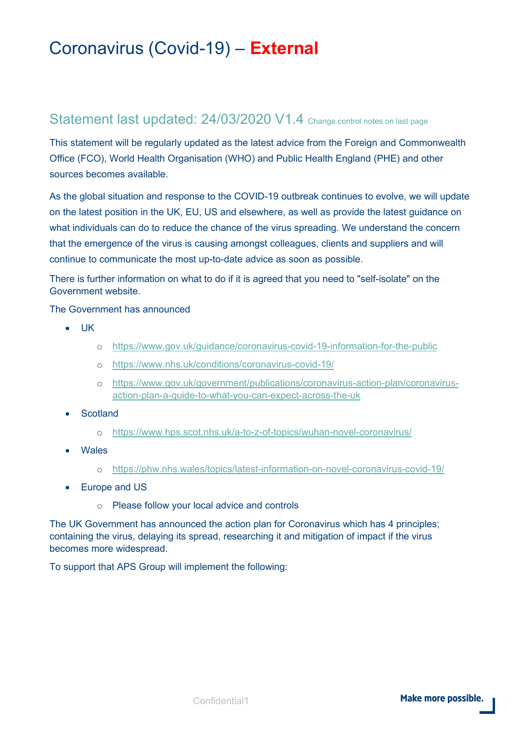# Coronavirus (Covid-19) – **External**

#### Statement last updated: 24/03/2020 V1.4 Change control notes on last page

This statement will be regularly updated as the latest advice from the Foreign and Commonwealth Office (FCO), World Health Organisation (WHO) and Public Health England (PHE) and other sources becomes available.

As the global situation and response to the COVID-19 outbreak continues to evolve, we will update on the latest position in the UK, EU, US and elsewhere, as well as provide the latest guidance on what individuals can do to reduce the chance of the virus spreading. We understand the concern that the emergence of the virus is causing amongst colleagues, clients and suppliers and will continue to communicate the most up-to-date advice as soon as possible.

There is further information on what to do if it is agreed that you need to "self-isolate" on the Government website.

The Government has announced

- UK
	- o <https://www.gov.uk/guidance/coronavirus-covid-19-information-for-the-public>
	- o <https://www.nhs.uk/conditions/coronavirus-covid-19/>
	- o [https://www.gov.uk/government/publications/coronavirus-action-plan/coronavirus](https://www.gov.uk/government/publications/coronavirus-action-plan/coronavirus-action-plan-a-guide-to-what-you-can-expect-across-the-uk)[action-plan-a-guide-to-what-you-can-expect-across-the-uk](https://www.gov.uk/government/publications/coronavirus-action-plan/coronavirus-action-plan-a-guide-to-what-you-can-expect-across-the-uk)
- **Scotland** 
	- o <https://www.hps.scot.nhs.uk/a-to-z-of-topics/wuhan-novel-coronavirus/>
- Wales
	- o <https://phw.nhs.wales/topics/latest-information-on-novel-coronavirus-covid-19/>
- Europe and US
	- o Please follow your local advice and controls

The UK Government has announced the action plan for Coronavirus which has 4 principles; containing the virus, delaying its spread, researching it and mitigation of impact if the virus becomes more widespread.

To support that APS Group will implement the following: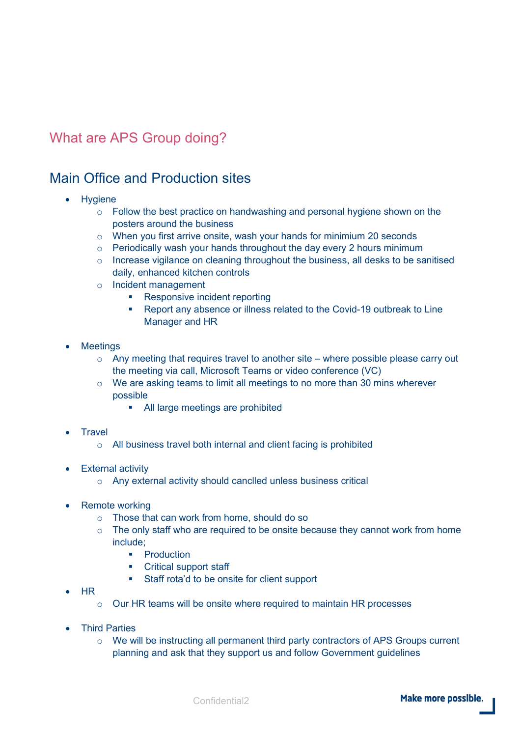## What are APS Group doing?

### Main Office and Production sites

- Hygiene
	- $\circ$  Follow the best practice on handwashing and personal hygiene shown on the posters around the business
	- o When you first arrive onsite, wash your hands for minimium 20 seconds
	- o Periodically wash your hands throughout the day every 2 hours minimum
	- o Increase vigilance on cleaning throughout the business, all desks to be sanitised daily, enhanced kitchen controls
	- o Incident management
		- Responsive incident reporting
		- Report any absence or illness related to the Covid-19 outbreak to Line Manager and HR
- **Meetings** 
	- o Any meeting that requires travel to another site where possible please carry out the meeting via call, Microsoft Teams or video conference (VC)
	- $\circ$  We are asking teams to limit all meetings to no more than 30 mins wherever possible
		- All large meetings are prohibited
- **Travel** 
	- o All business travel both internal and client facing is prohibited
- **External activity** 
	- o Any external activity should canclled unless business critical
- Remote working
	- o Those that can work from home, should do so
	- $\circ$  The only staff who are required to be onsite because they cannot work from home include;
		- **•** Production
		- Critical support staff
		- Staff rota'd to be onsite for client support
- HR
	- o Our HR teams will be onsite where required to maintain HR processes
- Third Parties
	- $\circ$  We will be instructing all permanent third party contractors of APS Groups current planning and ask that they support us and follow Government guidelines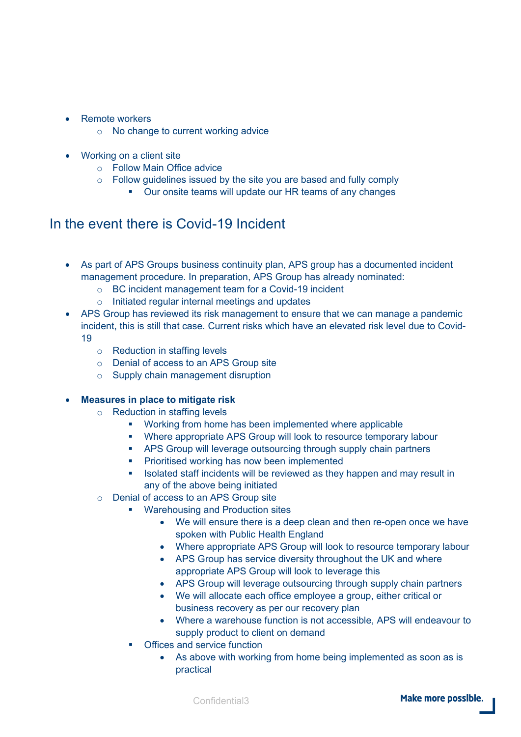- Remote workers
	- o No change to current working advice
- **Working on a client site** 
	- o Follow Main Office advice
	- $\circ$  Follow guidelines issued by the site you are based and fully comply
		- **Our onsite teams will update our HR teams of any changes**

### In the event there is Covid-19 Incident

- As part of APS Groups business continuity plan, APS group has a documented incident management procedure. In preparation, APS Group has already nominated:
	- o BC incident management team for a Covid-19 incident
	- o Initiated regular internal meetings and updates
- APS Group has reviewed its risk management to ensure that we can manage a pandemic incident, this is still that case. Current risks which have an elevated risk level due to Covid-19
	- o Reduction in staffing levels
	- o Denial of access to an APS Group site
	- o Supply chain management disruption

#### • **Measures in place to mitigate risk**

- o Reduction in staffing levels
	- **•** Working from home has been implemented where applicable
	- Where appropriate APS Group will look to resource temporary labour
	- APS Group will leverage outsourcing through supply chain partners
	- **Prioritised working has now been implemented**
	- In Isolated staff incidents will be reviewed as they happen and may result in any of the above being initiated
- o Denial of access to an APS Group site
	- **Warehousing and Production sites** 
		- We will ensure there is a deep clean and then re-open once we have spoken with Public Health England
		- Where appropriate APS Group will look to resource temporary labour
		- APS Group has service diversity throughout the UK and where appropriate APS Group will look to leverage this
		- APS Group will leverage outsourcing through supply chain partners
		- We will allocate each office employee a group, either critical or business recovery as per our recovery plan
		- Where a warehouse function is not accessible, APS will endeavour to supply product to client on demand
	- **•** Offices and service function
		- As above with working from home being implemented as soon as is practical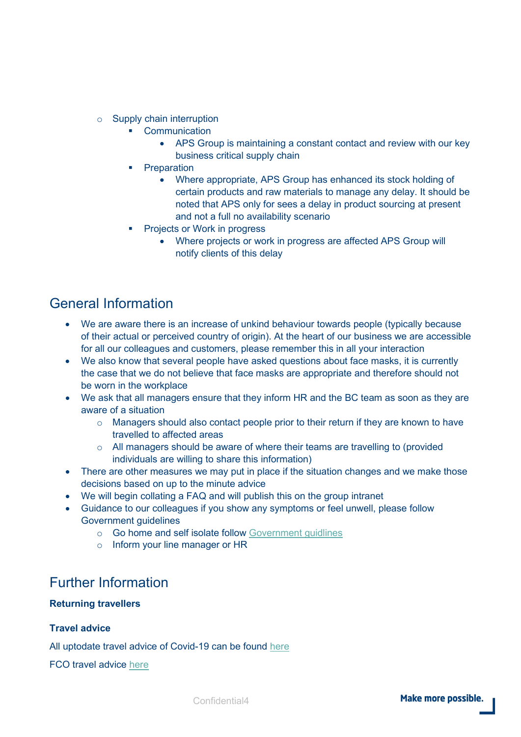- o Supply chain interruption
	- **•** Communication
		- APS Group is maintaining a constant contact and review with our key business critical supply chain
	- **•** Preparation
		- Where appropriate, APS Group has enhanced its stock holding of certain products and raw materials to manage any delay. It should be noted that APS only for sees a delay in product sourcing at present and not a full no availability scenario
	- Projects or Work in progress
		- Where projects or work in progress are affected APS Group will notify clients of this delay

### General Information

- We are aware there is an increase of unkind behaviour towards people (typically because of their actual or perceived country of origin). At the heart of our business we are accessible for all our colleagues and customers, please remember this in all your interaction
- We also know that several people have asked questions about face masks, it is currently the case that we do not believe that face masks are appropriate and therefore should not be worn in the workplace
- We ask that all managers ensure that they inform HR and the BC team as soon as they are aware of a situation
	- o Managers should also contact people prior to their return if they are known to have travelled to affected areas
	- $\circ$  All managers should be aware of where their teams are travelling to (provided individuals are willing to share this information)
- There are other measures we may put in place if the situation changes and we make those decisions based on up to the minute advice
- We will begin collating a FAQ and will publish this on the group intranet
- Guidance to our colleagues if you show any symptoms or feel unwell, please follow Government guidelines
	- o Go home and self isolate follow [Government guidlines](https://www.gov.uk/government/publications/covid-19-stay-at-home-guidance)
	- o Inform your line manager or HR

### Further Information

#### **Returning travellers**

#### **Travel advice**

All uptodate travel advice of Covid-19 can be found [here](https://www.gov.uk/guidance/travel-advice-novel-coronavirus)

FCO travel advice [here](https://www.gov.uk/foreign-travel-advice)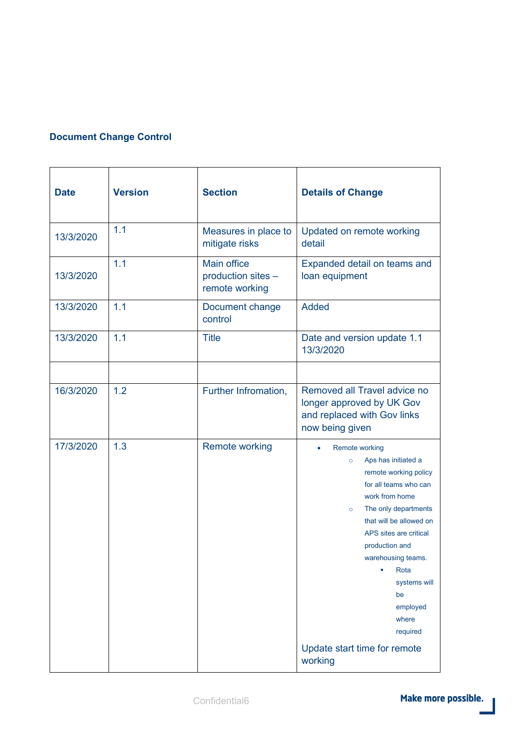#### **Document Change Control**

| <b>Date</b> | <b>Version</b> | <b>Section</b>                                             | <b>Details of Change</b>                                                                                                                                                                                                                                                                                                                                                   |
|-------------|----------------|------------------------------------------------------------|----------------------------------------------------------------------------------------------------------------------------------------------------------------------------------------------------------------------------------------------------------------------------------------------------------------------------------------------------------------------------|
| 13/3/2020   | 1.1            | Measures in place to<br>mitigate risks                     | Updated on remote working<br>detail                                                                                                                                                                                                                                                                                                                                        |
| 13/3/2020   | 1.1            | <b>Main office</b><br>production sites -<br>remote working | Expanded detail on teams and<br>loan equipment                                                                                                                                                                                                                                                                                                                             |
| 13/3/2020   | 1.1            | Document change<br>control                                 | <b>Added</b>                                                                                                                                                                                                                                                                                                                                                               |
| 13/3/2020   | 1.1            | <b>Title</b>                                               | Date and version update 1.1<br>13/3/2020                                                                                                                                                                                                                                                                                                                                   |
|             |                |                                                            |                                                                                                                                                                                                                                                                                                                                                                            |
| 16/3/2020   | 1.2            | Further Infromation,                                       | Removed all Travel advice no<br>longer approved by UK Gov<br>and replaced with Gov links<br>now being given                                                                                                                                                                                                                                                                |
| 17/3/2020   | 1.3            | <b>Remote working</b>                                      | <b>Remote working</b><br>Aps has initiated a<br>$\circ$<br>remote working policy<br>for all teams who can<br>work from home<br>The only departments<br>$\circ$<br>that will be allowed on<br>APS sites are critical<br>production and<br>warehousing teams.<br>Rota<br>۵<br>systems will<br>be<br>employed<br>where<br>required<br>Update start time for remote<br>working |